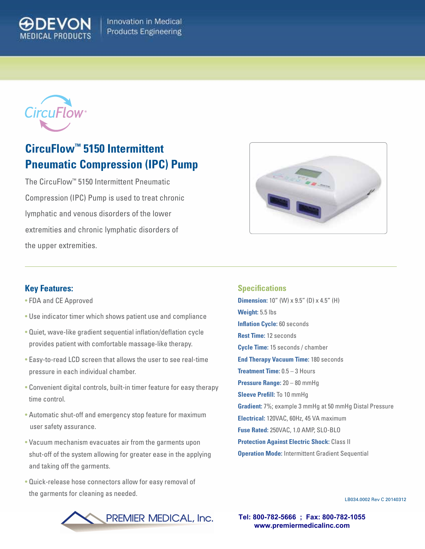



## **CircuFlow™ 5150 Intermittent Pneumatic Compression (IPC) Pump**

The CircuFlow™ 5150 Intermittent Pneumatic Compression (IPC) Pump is used to treat chronic lymphatic and venous disorders of the lower extremities and chronic lymphatic disorders of the upper extremities.



## **Key Features:**

- FDA and CE Approved
- Use indicator timer which shows patient use and compliance
- Quiet, wave-like gradient sequential inflation/deflation cycle provides patient with comfortable massage-like therapy.
- Easy-to-read LCD screen that allows the user to see real-time pressure in each individual chamber.
- Convenient digital controls, built-in timer feature for easy therapy time control.
- Automatic shut-off and emergency stop feature for maximum user safety assurance.
- Vacuum mechanism evacuates air from the garments upon shut-off of the system allowing for greater ease in the applying and taking off the garments.
- Quick-release hose connectors allow for easy removal of the garments for cleaning as needed.

## **Specifications**

**Dimension:** 10" (W) x 9.5" (D) x 4.5" (H) **Weight:** 5.5 lbs **Inflation Cycle: 60 seconds Rest Time:** 12 seconds **Cycle Time:** 15 seconds / chamber **End Therapy Vacuum Time:** 180 seconds **Treatment Time:** 0.5 – 3 Hours **Pressure Range:** 20 – 80 mmHg **Sleeve Prefill:** To 10 mmHg **Gradient:** 7%; example 3 mmHg at 50 mmHg Distal Pressure **Electrical:** 120VAC, 60Hz, 45 VA maximum **Fuse Rated:** 250VAC, 1.0 AMP, SLO-BLO **Protection Against Electric Shock:** Class II **Operation Mode:** Intermittent Gradient Sequential

LB034.0002 Rev C 20140312

**Tel: 800-782-5666 ; Fax: 800-782-1055 www.premiermedicalinc.com**